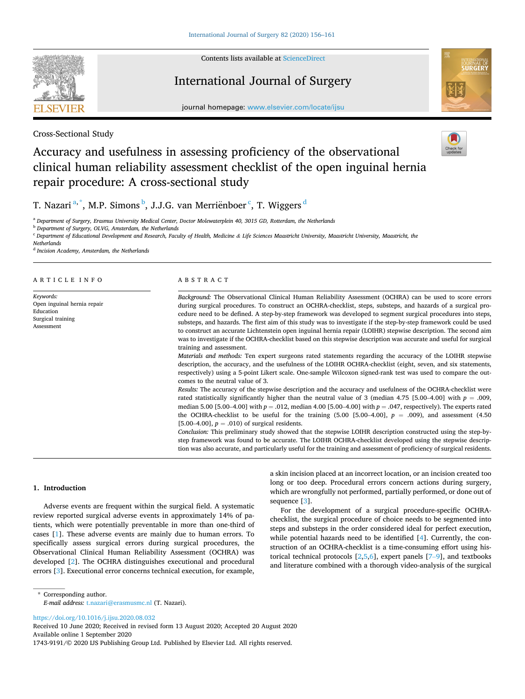

Contents lists available at [ScienceDirect](www.sciencedirect.com/science/journal/17439191)

## International Journal of Surgery



journal homepage: [www.elsevier.com/locate/ijsu](https://www.elsevier.com/locate/ijsu)

Cross-Sectional Study

# Accuracy and usefulness in assessing proficiency of the observational clinical human reliability assessment checklist of the open inguinal hernia repair procedure: A cross-sectional study

T. Nazari  $^{\mathrm{a},\ast},$  M.P. Simons  $^{\mathrm{b}},$  J.J.G. van Merriënboer  $^{\mathrm{c}},$  T. Wiggers  $^{\mathrm{d}}$ 

<sup>a</sup> *Department of Surgery, Erasmus University Medical Center, Doctor Molewaterplein 40, 3015 GD, Rotterdam, the Netherlands* 

<sup>b</sup> *Department of Surgery, OLVG, Amsterdam, the Netherlands* 

<sup>c</sup> Department of Educational Development and Research, Faculty of Health, Medicine & Life Sciences Maastricht University, Maastricht University, Maastricht, the

*Netherlands* 

<sup>d</sup> *Incision Academy, Amsterdam, the Netherlands* 

## ARTICLE INFO

*Keywords:*  Open inguinal hernia repair Education Surgical training Assessment

## ABSTRACT

*Background:* The Observational Clinical Human Reliability Assessment (OCHRA) can be used to score errors during surgical procedures. To construct an OCHRA-checklist, steps, substeps, and hazards of a surgical procedure need to be defined. A step-by-step framework was developed to segment surgical procedures into steps, substeps, and hazards. The first aim of this study was to investigate if the step-by-step framework could be used to construct an accurate Lichtenstein open inguinal hernia repair (LOIHR) stepwise description. The second aim was to investigate if the OCHRA-checklist based on this stepwise description was accurate and useful for surgical training and assessment.

*Materials and methods:* Ten expert surgeons rated statements regarding the accuracy of the LOIHR stepwise description, the accuracy, and the usefulness of the LOIHR OCHRA-checklist (eight, seven, and six statements, respectively) using a 5-point Likert scale. One-sample Wilcoxon signed-rank test was used to compare the outcomes to the neutral value of 3.

*Results:* The accuracy of the stepwise description and the accuracy and usefulness of the OCHRA-checklist were rated statistically significantly higher than the neutral value of 3 (median 4.75 [5.00–4.00] with  $p = .009$ , median 5.00 [5.00–4.00] with *p* = .012, median 4.00 [5.00–4.00] with *p* = .047, respectively). The experts rated the OCHRA-checklist to be useful for the training  $(5.00 \quad [5.00-4.00], p = .009)$ , and assessment  $(4.50 \quad$  $[5.00-4.00]$ ,  $p = .010$ ) of surgical residents.

*Conclusion:* This preliminary study showed that the stepwise LOIHR description constructed using the step-bystep framework was found to be accurate. The LOIHR OCHRA-checklist developed using the stepwise description was also accurate, and particularly useful for the training and assessment of proficiency of surgical residents.

## **1. Introduction**

Adverse events are frequent within the surgical field. A systematic review reported surgical adverse events in approximately 14% of patients, which were potentially preventable in more than one-third of cases [\[1\]](#page-4-0). These adverse events are mainly due to human errors. To specifically assess surgical errors during surgical procedures, the Observational Clinical Human Reliability Assessment (OCHRA) was developed [\[2\]](#page-4-0). The OCHRA distinguishes executional and procedural errors [[3](#page-4-0)]. Executional error concerns technical execution, for example,

a skin incision placed at an incorrect location, or an incision created too long or too deep. Procedural errors concern actions during surgery, which are wrongfully not performed, partially performed, or done out of sequence [\[3\]](#page-4-0).

For the development of a surgical procedure-specific OCHRAchecklist, the surgical procedure of choice needs to be segmented into steps and substeps in the order considered ideal for perfect execution, while potential hazards need to be identified [\[4\]](#page-4-0). Currently, the construction of an OCHRA-checklist is a time-consuming effort using historical technical protocols  $[2,5,6]$  $[2,5,6]$  $[2,5,6]$  $[2,5,6]$ , expert panels  $[7-9]$  $[7-9]$ , and textbooks and literature combined with a thorough video-analysis of the surgical

\* Corresponding author. *E-mail address:* [t.nazari@erasmusmc.nl](mailto:t.nazari@erasmusmc.nl) (T. Nazari).

<https://doi.org/10.1016/j.ijsu.2020.08.032>

Available online 1 September 2020 1743-9191/© 2020 IJS Publishing Group Ltd. Published by Elsevier Ltd. All rights reserved. Received 10 June 2020; Received in revised form 13 August 2020; Accepted 20 August 2020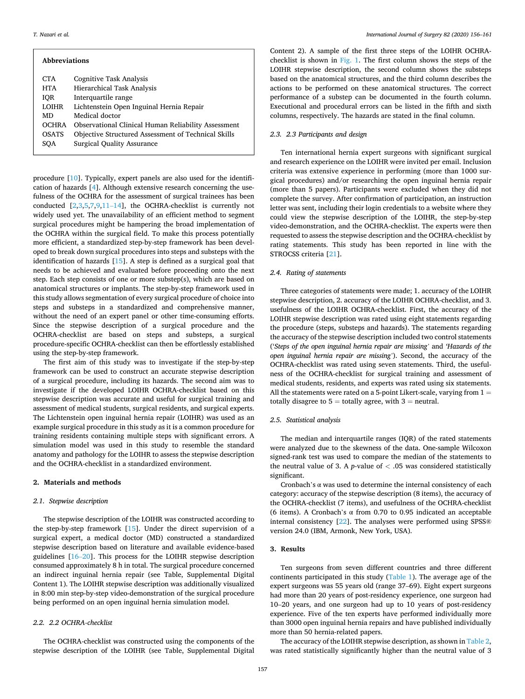#### *T. Nazari et al.*

| <b>Abbreviations</b>                                |  |  |  |
|-----------------------------------------------------|--|--|--|
| Cognitive Task Analysis                             |  |  |  |
| Hierarchical Task Analysis                          |  |  |  |
| Interquartile range                                 |  |  |  |
| Lichtenstein Open Inguinal Hernia Repair            |  |  |  |
| Medical doctor                                      |  |  |  |
| Observational Clinical Human Reliability Assessment |  |  |  |
| Objective Structured Assessment of Technical Skills |  |  |  |
| <b>Surgical Quality Assurance</b>                   |  |  |  |
|                                                     |  |  |  |

procedure [\[10](#page-4-0)]. Typically, expert panels are also used for the identification of hazards [\[4\]](#page-4-0). Although extensive research concerning the usefulness of the OCHRA for the assessment of surgical trainees has been conducted [\[2,3](#page-4-0),[5,7,9,](#page-4-0)11–[14\]](#page-4-0), the OCHRA-checklist is currently not widely used yet. The unavailability of an efficient method to segment surgical procedures might be hampering the broad implementation of the OCHRA within the surgical field. To make this process potentially more efficient, a standardized step-by-step framework has been developed to break down surgical procedures into steps and substeps with the identification of hazards [\[15](#page-4-0)]. A step is defined as a surgical goal that needs to be achieved and evaluated before proceeding onto the next step. Each step consists of one or more substep(s), which are based on anatomical structures or implants. The step-by-step framework used in this study allows segmentation of every surgical procedure of choice into steps and substeps in a standardized and comprehensive manner, without the need of an expert panel or other time-consuming efforts. Since the stepwise description of a surgical procedure and the OCHRA-checklist are based on steps and substeps, a surgical procedure-specific OCHRA-checklist can then be effortlessly established using the step-by-step framework.

The first aim of this study was to investigate if the step-by-step framework can be used to construct an accurate stepwise description of a surgical procedure, including its hazards. The second aim was to investigate if the developed LOIHR OCHRA-checklist based on this stepwise description was accurate and useful for surgical training and assessment of medical students, surgical residents, and surgical experts. The Lichtenstein open inguinal hernia repair (LOIHR) was used as an example surgical procedure in this study as it is a common procedure for training residents containing multiple steps with significant errors. A simulation model was used in this study to resemble the standard anatomy and pathology for the LOIHR to assess the stepwise description and the OCHRA-checklist in a standardized environment.

## **2. Materials and methods**

## *2.1. Stepwise description*

The stepwise description of the LOIHR was constructed according to the step-by-step framework [\[15](#page-4-0)]. Under the direct supervision of a surgical expert, a medical doctor (MD) constructed a standardized stepwise description based on literature and available evidence-based guidelines [16–[20\]](#page-4-0). This process for the LOIHR stepwise description consumed approximately 8 h in total. The surgical procedure concerned an indirect inguinal hernia repair (see Table, Supplemental Digital Content 1). The LOIHR stepwise description was additionally visualized in 8:00 min step-by-step video-demonstration of the surgical procedure being performed on an open inguinal hernia simulation model.

## *2.2. 2.2 OCHRA-checklist*

The OCHRA-checklist was constructed using the components of the stepwise description of the LOIHR (see Table, Supplemental Digital

Content 2). A sample of the first three steps of the LOIHR OCHRAchecklist is shown in [Fig. 1](#page-2-0). The first column shows the steps of the LOIHR stepwise description, the second column shows the substeps based on the anatomical structures, and the third column describes the actions to be performed on these anatomical structures. The correct performance of a substep can be documented in the fourth column. Executional and procedural errors can be listed in the fifth and sixth columns, respectively. The hazards are stated in the final column.

## *2.3. 2.3 Participants and design*

Ten international hernia expert surgeons with significant surgical and research experience on the LOIHR were invited per email. Inclusion criteria was extensive experience in performing (more than 1000 surgical procedures) and/or researching the open inguinal hernia repair (more than 5 papers). Participants were excluded when they did not complete the survey. After confirmation of participation, an instruction letter was sent, including their login credentials to a website where they could view the stepwise description of the LOIHR, the step-by-step video-demonstration, and the OCHRA-checklist. The experts were then requested to assess the stepwise description and the OCHRA-checklist by rating statements. This study has been reported in line with the STROCSS criteria [\[21](#page-5-0)].

## *2.4. Rating of statements*

Three categories of statements were made; 1. accuracy of the LOIHR stepwise description, 2. accuracy of the LOIHR OCHRA-checklist, and 3. usefulness of the LOIHR OCHRA-checklist. First, the accuracy of the LOIHR stepwise description was rated using eight statements regarding the procedure (steps, substeps and hazards). The statements regarding the accuracy of the stepwise description included two control statements ('*Steps of the open inguinal hernia repair are missing'* and *'Hazards of the open inguinal hernia repair are missing'*). Second, the accuracy of the OCHRA-checklist was rated using seven statements. Third, the usefulness of the OCHRA-checklist for surgical training and assessment of medical students, residents, and experts was rated using six statements. All the statements were rated on a 5-point Likert-scale, varying from  $1 =$ totally disagree to  $5 =$  totally agree, with  $3 =$  neutral.

## *2.5. Statistical analysis*

The median and interquartile ranges (IQR) of the rated statements were analyzed due to the skewness of the data. One-sample Wilcoxon signed-rank test was used to compare the median of the statements to the neutral value of 3. A *p*-value of *<* .05 was considered statistically significant.

Cronbach's  $\alpha$  was used to determine the internal consistency of each category: accuracy of the stepwise description (8 items), the accuracy of the OCHRA-checklist (7 items), and usefulness of the OCHRA-checklist (6 items). A Cronbach's  $\alpha$  from 0.70 to 0.95 indicated an acceptable internal consistency [[22\]](#page-5-0). The analyses were performed using SPSS® version 24.0 (IBM, Armonk, New York, USA).

## **3. Results**

Ten surgeons from seven different countries and three different continents participated in this study  $(Table 1)$ . The average age of the expert surgeons was 55 years old (range 37–69). Eight expert surgeons had more than 20 years of post-residency experience, one surgeon had 10–20 years, and one surgeon had up to 10 years of post-residency experience. Five of the ten experts have performed individually more than 3000 open inguinal hernia repairs and have published individually more than 50 hernia-related papers.

The accuracy of the LOIHR stepwise description, as shown in [Table 2](#page-2-0), was rated statistically significantly higher than the neutral value of 3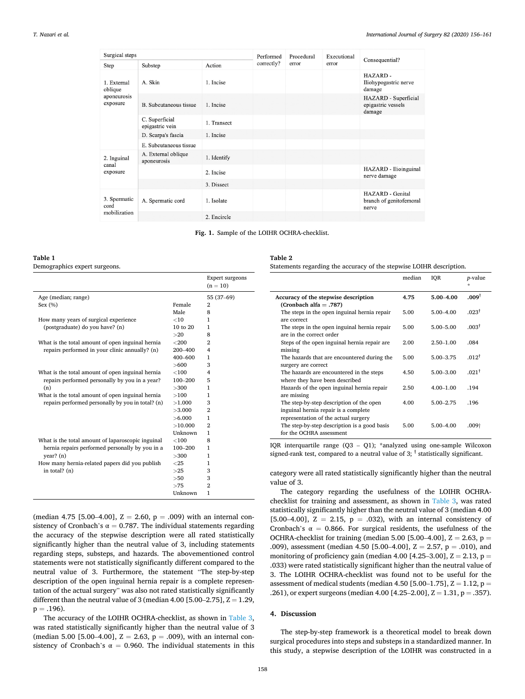median IQR *p*-value

<span id="page-2-0"></span>

| Surgical steps          |                                    |             | Performed  | Procedural | Executional |                                                      |
|-------------------------|------------------------------------|-------------|------------|------------|-------------|------------------------------------------------------|
| Step                    | Substep                            | Action      | correctly? | error      | error       | Consequential?                                       |
| 1. External<br>oblique  | A. Skin                            | 1. Incise   |            |            |             | HAZARD-<br>Iliohypogastric nerve<br>damage           |
| aponeurosis<br>exposure | B. Subcutaneous tissue             | 1. Incise   |            |            |             | HAZARD - Superficial<br>epigastric vessels<br>damage |
|                         | C. Superficial<br>epigastric vein  | 1. Transect |            |            |             |                                                      |
|                         | D. Scarpa's fascia                 | 1. Incise   |            |            |             |                                                      |
|                         | E. Subcutaneous tissue             |             |            |            |             |                                                      |
| 2. Inguinal<br>canal    | A. External oblique<br>aponeurosis | 1. Identify |            |            |             |                                                      |
| exposure                |                                    | 2. Incise   |            |            |             | HAZARD - Ilioinguinal<br>nerve damage                |
|                         |                                    | 3. Dissect  |            |            |             |                                                      |
| 3. Spermatic<br>cord    | A. Spermatic cord                  | 1. Isolate  |            |            |             | HAZARD - Genital<br>branch of genitofemoral<br>nerve |
| mobilization            |                                    | 2. Encircle |            |            |             |                                                      |

**Fig. 1.** Sample of the LOIHR OCHRA-checklist.

#### **Table 1**

Demographics expert surgeons.

|                                                   |              | <b>Expert surgeons</b><br>$(n = 10)$ |
|---------------------------------------------------|--------------|--------------------------------------|
| Age (median; range)                               |              | 55 (37-69)                           |
| Sex $(\% )$                                       | Female       | $\mathbf{2}$                         |
|                                                   | Male         | 8                                    |
| How many years of surgical experience             | <10          | 1                                    |
| (postgraduate) do you have? (n)                   | $10$ to $20$ | 1                                    |
|                                                   | >20          | 8                                    |
| What is the total amount of open inguinal hernia  | $<$ 200      | $\overline{2}$                       |
| repairs performed in your clinic annually? (n)    | 200-400      | 4                                    |
|                                                   | $400 - 600$  | 1                                    |
|                                                   | >600         | 3                                    |
| What is the total amount of open inguinal hernia  | <100         | 4                                    |
| repairs performed personally by you in a year?    | 100–200      | 5                                    |
| (n)                                               | >300         | 1                                    |
| What is the total amount of open inguinal hernia  | >100         | 1                                    |
| repairs performed personally by you in total? (n) | >1.000       | 3                                    |
|                                                   | >3.000       | $\overline{2}$                       |
|                                                   | > 6.000      | 1                                    |
|                                                   | >10.000      | $\overline{2}$                       |
|                                                   | Unknown      | 1                                    |
| What is the total amount of laparoscopic inguinal | $<$ 100      | 8                                    |
| hernia repairs performed personally by you in a   | $100 - 200$  | 1                                    |
| year? (n)                                         | >300         | 1                                    |
| How many hernia-related papers did you publish    | $<$ 25       | 1                                    |
| in total? $(n)$                                   | >25          | 3                                    |
|                                                   | >50          | 3                                    |
|                                                   | >75          | $\overline{2}$                       |
|                                                   | Unknown      | 1                                    |
|                                                   |              |                                      |

(median 4.75 [5.00–4.00],  $Z = 2.60$ ,  $p = .009$ ) with an internal consistency of Cronbach's  $\alpha = 0.787$ . The individual statements regarding the accuracy of the stepwise description were all rated statistically significantly higher than the neutral value of 3, including statements regarding steps, substeps, and hazards. The abovementioned control statements were not statistically significantly different compared to the neutral value of 3. Furthermore, the statement "The step-by-step description of the open inguinal hernia repair is a complete representation of the actual surgery" was also not rated statistically significantly different than the neutral value of 3 (median 4.00 [5.00–2.75],  $Z = 1.29$ ,  $p = .196$ ).

The accuracy of the LOIHR OCHRA-checklist, as shown in [Table 3](#page-3-0), was rated statistically significantly higher than the neutral value of 3 (median 5.00 [5.00–4.00],  $Z = 2.63$ ,  $p = .009$ ), with an internal consistency of Cronbach's  $\alpha = 0.960$ . The individual statements in this

**Table 2**  Statements regarding the accuracy of the stepwise LOIHR description.

|                                                                                                                          | шсчин | 1VII          | $\nu$ -value      |
|--------------------------------------------------------------------------------------------------------------------------|-------|---------------|-------------------|
| Accuracy of the stepwise description<br>(Cronbach alfa = .787)                                                           | 4.75  | $5.00 - 4.00$ | .009 <sup>†</sup> |
| The steps in the open inguinal hernia repair<br>are correct                                                              | 5.00  | $5.00 - 4.00$ | $.023^{\dagger}$  |
| The steps in the open inguinal hernia repair<br>are in the correct order                                                 | 5.00  | $5.00 - 5.00$ | .003 <sup>†</sup> |
| Steps of the open inguinal hernia repair are<br>missing                                                                  | 2.00  | $2.50 - 1.00$ | .084              |
| The hazards that are encountered during the<br>surgery are correct                                                       | 5.00  | 5.00-3.75     | $012^{\dagger}$   |
| The hazards are encountered in the steps<br>where they have been described                                               | 4.50  | $5.00 - 3.00$ | $021^{\dagger}$   |
| Hazards of the open inguinal hernia repair<br>are missing                                                                | 2.50  | $4.00 - 1.00$ | .194              |
| The step-by-step description of the open<br>inguinal hernia repair is a complete<br>representation of the actual surgery | 4.00  | $5.00 - 2.75$ | -196              |
| The step-by-step description is a good basis<br>for the OCHRA assessment                                                 | 5.00  | $5.00 - 4.00$ | $.009+$           |

IQR interquartile range (Q3 – Q1); \*analyzed using one-sample Wilcoxon signed-rank test, compared to a neutral value of 3;  $<sup>†</sup>$  statistically significant.</sup>

category were all rated statistically significantly higher than the neutral value of 3.

The category regarding the usefulness of the LOIHR OCHRAchecklist for training and assessment, as shown in [Table 3,](#page-3-0) was rated statistically significantly higher than the neutral value of 3 (median 4.00 [5.00–4.00],  $Z = 2.15$ ,  $p = .032$ ], with an internal consistency of Cronbach's  $\alpha = 0.866$ . For surgical residents, the usefulness of the OCHRA-checklist for training (median 5.00 [5.00–4.00],  $Z = 2.63$ ,  $p =$ .009), assessment (median 4.50 [5.00–4.00],  $Z = 2.57$ ,  $p = .010$ ), and monitoring of proficiency gain (median 4.00 [4.25–3.00],  $Z = 2.13$ ,  $p =$ .033) were rated statistically significant higher than the neutral value of 3. The LOIHR OCHRA-checklist was found not to be useful for the assessment of medical students (median 4.50 [5.00–1.75],  $Z = 1.12$ ,  $p =$ .261), or expert surgeons (median 4.00 [4.25-2.00],  $Z = 1.31$ , p = .357).

## **4. Discussion**

The step-by-step framework is a theoretical model to break down surgical procedures into steps and substeps in a standardized manner. In this study, a stepwise description of the LOIHR was constructed in a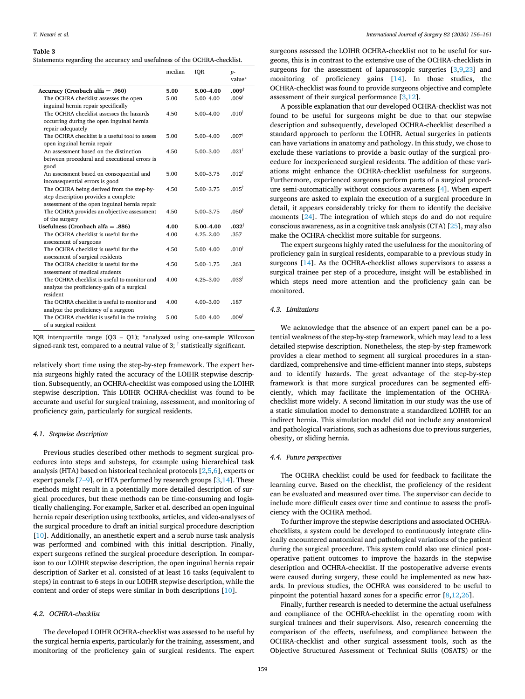#### <span id="page-3-0"></span>**Table 3**

|  |  |  | Statements regarding the accuracy and usefulness of the OCHRA-checklist. |
|--|--|--|--------------------------------------------------------------------------|
|--|--|--|--------------------------------------------------------------------------|

| median<br>IQR                                                                                                  | $p-$<br>value*    |
|----------------------------------------------------------------------------------------------------------------|-------------------|
| Accuracy (Cronbach alfa = .960)<br>5.00<br>$5.00 - 4.00$                                                       | $.009^{\dagger}$  |
| The OCHRA checklist assesses the open<br>5.00<br>5.00-4.00                                                     | $.009^{\dagger}$  |
| inguinal hernia repair specifically                                                                            |                   |
| The OCHRA checklist assesses the hazards<br>4.50<br>$5.00 - 4.00$                                              | .010 <sup>†</sup> |
| occurring during the open inguinal hernia                                                                      |                   |
| repair adequately                                                                                              |                   |
| The OCHRA checklist is a useful tool to assess<br>5.00<br>5.00-4.00                                            | .007 <sup>†</sup> |
| open inguinal hernia repair                                                                                    |                   |
| An assessment based on the distinction<br>4.50<br>$5.00 - 3.00$                                                | $.021^{\dagger}$  |
| between procedural and executional errors is                                                                   |                   |
| good                                                                                                           |                   |
| An assessment based on consequential and<br>5.00<br>5.00 - 3.75                                                | $012^{\dagger}$   |
| inconsequential errors is good                                                                                 |                   |
| The OCHRA being derived from the step-by-<br>4.50<br>5.00-3.75                                                 | $.015^{\dagger}$  |
| step description provides a complete                                                                           |                   |
| assessment of the open inguinal hernia repair                                                                  |                   |
| The OCHRA provides an objective assessment<br>4.50<br>5.00-3.75                                                | .050 <sup>†</sup> |
| of the surgery                                                                                                 |                   |
| Usefulness (Cronbach alfa = $.886$ )<br>4.00<br>$5.00 - 4.00$                                                  | $.032^{\dagger}$  |
| The OCHRA checklist is useful for the<br>$4.25 - 2.00$<br>4.00                                                 | .357              |
| assessment of surgeons                                                                                         |                   |
| The OCHRA checklist is useful for the<br>4.50<br>$5.00 - 4.00$                                                 | .010 <sup>†</sup> |
| assessment of surgical residents                                                                               |                   |
| The OCHRA checklist is useful for the<br>4.50<br>5.00-1.75                                                     | .261              |
| assessment of medical students<br>The OCHRA checklist is useful to monitor and                                 | $.033^{\dagger}$  |
| 4.00<br>$4.25 - 3.00$                                                                                          |                   |
| analyze the proficiency-gain of a surgical<br>resident                                                         |                   |
| The OCHRA checklist is useful to monitor and<br>4.00<br>$4.00 - 3.00$                                          |                   |
|                                                                                                                |                   |
|                                                                                                                | .187              |
| analyze the proficiency of a surgeon<br>The OCHRA checklist is useful in the training<br>5.00<br>$5.00 - 4.00$ | $.009^{\dagger}$  |

IQR interquartile range (Q3 – Q1); \*analyzed using one-sample Wilcoxon signed-rank test, compared to a neutral value of 3;  $\dagger$  statistically significant.

relatively short time using the step-by-step framework. The expert hernia surgeons highly rated the accuracy of the LOIHR stepwise description. Subsequently, an OCHRA-checklist was composed using the LOIHR stepwise description. This LOIHR OCHRA-checklist was found to be accurate and useful for surgical training, assessment, and monitoring of proficiency gain, particularly for surgical residents.

#### *4.1. Stepwise description*

Previous studies described other methods to segment surgical procedures into steps and substeps, for example using hierarchical task analysis (HTA) based on historical technical protocols [\[2,5,6\]](#page-4-0), experts or expert panels  $[7-9]$  $[7-9]$ , or HTA performed by research groups  $[3,14]$  $[3,14]$ . These methods might result in a potentially more detailed description of surgical procedures, but these methods can be time-consuming and logistically challenging. For example, Sarker et al. described an open inguinal hernia repair description using textbooks, articles, and video-analyses of the surgical procedure to draft an initial surgical procedure description [[10\]](#page-4-0). Additionally, an anesthetic expert and a scrub nurse task analysis was performed and combined with this initial description. Finally, expert surgeons refined the surgical procedure description. In comparison to our LOIHR stepwise description, the open inguinal hernia repair description of Sarker et al. consisted of at least 16 tasks (equivalent to steps) in contrast to 6 steps in our LOIHR stepwise description, while the content and order of steps were similar in both descriptions [[10\]](#page-4-0).

## *4.2. OCHRA-checklist*

The developed LOIHR OCHRA-checklist was assessed to be useful by the surgical hernia experts, particularly for the training, assessment, and monitoring of the proficiency gain of surgical residents. The expert surgeons assessed the LOIHR OCHRA-checklist not to be useful for surgeons, this is in contrast to the extensive use of the OCHRA-checklists in surgeons for the assessment of laparoscopic surgeries [\[3,9,](#page-4-0)[23\]](#page-5-0) and monitoring of proficiency gains [[14\]](#page-4-0). In those studies, the OCHRA-checklist was found to provide surgeons objective and complete assessment of their surgical performance [\[3,12\]](#page-4-0).

A possible explanation that our developed OCHRA-checklist was not found to be useful for surgeons might be due to that our stepwise description and subsequently, developed OCHRA-checklist described a standard approach to perform the LOIHR. Actual surgeries in patients can have variations in anatomy and pathology. In this study, we chose to exclude these variations to provide a basic outlay of the surgical procedure for inexperienced surgical residents. The addition of these variations might enhance the OCHRA-checklist usefulness for surgeons. Furthermore, experienced surgeons perform parts of a surgical procedure semi-automatically without conscious awareness [[4](#page-4-0)]. When expert surgeons are asked to explain the execution of a surgical procedure in detail, it appears considerably tricky for them to identify the decisive moments [\[24](#page-5-0)]. The integration of which steps do and do not require conscious awareness, as in a cognitive task analysis (CTA) [[25\]](#page-5-0), may also make the OCHRA-checklist more suitable for surgeons.

The expert surgeons highly rated the usefulness for the monitoring of proficiency gain in surgical residents, comparable to a previous study in surgeons [\[14](#page-4-0)]. As the OCHRA-checklist allows supervisors to assess a surgical trainee per step of a procedure, insight will be established in which steps need more attention and the proficiency gain can be monitored.

#### *4.3. Limitations*

We acknowledge that the absence of an expert panel can be a potential weakness of the step-by-step framework, which may lead to a less detailed stepwise description. Nonetheless, the step-by-step framework provides a clear method to segment all surgical procedures in a standardized, comprehensive and time-efficient manner into steps, substeps and to identify hazards. The great advantage of the step-by-step framework is that more surgical procedures can be segmented efficiently, which may facilitate the implementation of the OCHRAchecklist more widely. A second limitation in our study was the use of a static simulation model to demonstrate a standardized LOIHR for an indirect hernia. This simulation model did not include any anatomical and pathological variations, such as adhesions due to previous surgeries, obesity, or sliding hernia.

## *4.4. Future perspectives*

The OCHRA checklist could be used for feedback to facilitate the learning curve. Based on the checklist, the proficiency of the resident can be evaluated and measured over time. The supervisor can decide to include more difficult cases over time and continue to assess the proficiency with the OCHRA method.

To further improve the stepwise descriptions and associated OCHRAchecklists, a system could be developed to continuously integrate clinically encountered anatomical and pathological variations of the patient during the surgical procedure. This system could also use clinical postoperative patient outcomes to improve the hazards in the stepwise description and OCHRA-checklist. If the postoperative adverse events were caused during surgery, these could be implemented as new hazards. In previous studies, the OCHRA was considered to be useful to pinpoint the potential hazard zones for a specific error [[8,12](#page-4-0),[26\]](#page-5-0).

Finally, further research is needed to determine the actual usefulness and compliance of the OCHRA-checklist in the operating room with surgical trainees and their supervisors. Also, research concerning the comparison of the effects, usefulness, and compliance between the OCHRA-checklist and other surgical assessment tools, such as the Objective Structured Assessment of Technical Skills (OSATS) or the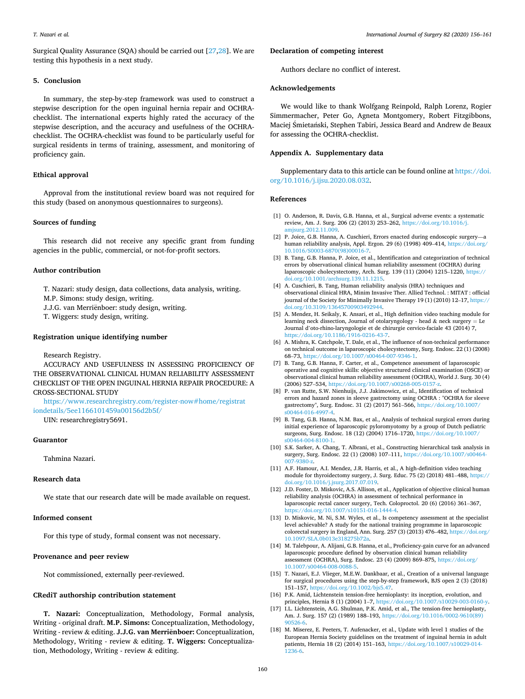<span id="page-4-0"></span>Surgical Quality Assurance (SQA) should be carried out [[27,28\]](#page-5-0). We are testing this hypothesis in a next study.

#### **5. Conclusion**

In summary, the step-by-step framework was used to construct a stepwise description for the open inguinal hernia repair and OCHRAchecklist. The international experts highly rated the accuracy of the stepwise description, and the accuracy and usefulness of the OCHRAchecklist. The OCHRA-checklist was found to be particularly useful for surgical residents in terms of training, assessment, and monitoring of proficiency gain.

## **Ethical approval**

Approval from the institutional review board was not required for this study (based on anonymous questionnaires to surgeons).

#### **Sources of funding**

This research did not receive any specific grant from funding agencies in the public, commercial, or not-for-profit sectors.

## **Author contribution**

T. Nazari: study design, data collections, data analysis, writing. M.P. Simons: study design, writing.

J.J.G. van Merriënboer: study design, writing.

T. Wiggers: study design, writing.

#### **Registration unique identifying number**

Research Registry.

ACCURACY AND USEFULNESS IN ASSESSING PROFICIENCY OF THE OBSERVATIONAL CLINICAL HUMAN RELIABILITY ASSESSMENT CHECKLIST OF THE OPEN INGUINAL HERNIA REPAIR PROCEDURE: A CROSS-SECTIONAL STUDY

[https://www.researchregistry.com/register-now#home/registrat](https://www.researchregistry.com/register-now#home/registrationdetails/5ee1166101459a00156d2b5f/)  [iondetails/5ee1166101459a00156d2b5f/](https://www.researchregistry.com/register-now#home/registrationdetails/5ee1166101459a00156d2b5f/) 

UIN: researchregistry5691.

## **Guarantor**

Tahmina Nazari.

## **Research data**

We state that our research date will be made available on request.

## **Informed consent**

For this type of study, formal consent was not necessary.

## **Provenance and peer review**

Not commissioned, externally peer-reviewed.

## **CRediT authorship contribution statement**

**T. Nazari:** Conceptualization, Methodology, Formal analysis, Writing - original draft. **M.P. Simons:** Conceptualization, Methodology, Writing - review & editing. **J.J.G. van Merrienboer:** Conceptualization, Methodology, Writing - review & editing. **T. Wiggers:** Conceptualization, Methodology, Writing - review & editing.

## **Declaration of competing interest**

Authors declare no conflict of interest.

## **Acknowledgements**

We would like to thank Wolfgang Reinpold, Ralph Lorenz, Rogier Simmermacher, Peter Go, Agneta Montgomery, Robert Fitzgibbons, Maciej Śmietański, Stephen Tabiri, Jessica Beard and Andrew de Beaux for assessing the OCHRA-checklist.

## **Appendix A. Supplementary data**

Supplementary data to this article can be found online at [https://doi.](https://doi.org/10.1016/j.ijsu.2020.08.032)  [org/10.1016/j.ijsu.2020.08.032](https://doi.org/10.1016/j.ijsu.2020.08.032).

#### **References**

- [1] O. Anderson, R. Davis, G.B. Hanna, et al., Surgical adverse events: a systematic review, Am. J. Surg. 206 (2) (2013) 253–262, [https://doi.org/10.1016/j.](https://doi.org/10.1016/j.amjsurg.2012.11.009)  [amjsurg.2012.11.009](https://doi.org/10.1016/j.amjsurg.2012.11.009).
- [2] P. Joice, G.B. Hanna, A. Cuschieri, Errors enacted during endoscopic surgery—a human reliability analysis, Appl. Ergon. 29 (6) (1998) 409-414, [https://doi.org/](https://doi.org/10.1016/S0003-6870(98)00016-7) [10.1016/S0003-6870\(98\)00016-7](https://doi.org/10.1016/S0003-6870(98)00016-7).
- [3] B. Tang, G.B. Hanna, P. Joice, et al., Identification and categorization of technical errors by observational clinical human reliability assessment (OCHRA) during laparoscopic cholecystectomy, Arch. Surg. 139 (11) (2004) 1215–1220, [https://](https://doi.org/10.1001/archsurg.139.11.1215) oi.org/10.1001/archsurg.139.11.1215.
- [4] A. Cuschieri, B. Tang, Human reliability analysis (HRA) techniques and observational clinical HRA, Minim Invasive Ther. Allied Technol. : MITAT : official journal of the Society for Minimally Invasive Therapy 19 (1) (2010) 12-17, https:// loi.org/10.3109/13645700903492
- [5] A. Mendez, H. Seikaly, K. Ansari, et al., High definition video teaching module for learning neck dissection, Journal of otolaryngology - head  $\&$  neck surgery = Le Journal d'oto-rhino-laryngologie et de chirurgie cervico-faciale 43 (2014) 7, //doi.org/10.1186/1916-0216-43
- [6] A. Mishra, K. Catchpole, T. Dale, et al., The influence of non-technical performance on technical outcome in laparoscopic cholecystectomy, Surg. Endosc. 22 (1) (2008) 68–73, [https://doi.org/10.1007/s00464-007-9346-1.](https://doi.org/10.1007/s00464-007-9346-1)
- [7] B. Tang, G.B. Hanna, F. Carter, et al., Competence assessment of laparoscopic operative and cognitive skills: objective structured clinical examination (OSCE) or observational clinical human reliability assessment (OCHRA), World J. Surg. 30 (4) (2006) 527–534, <https://doi.org/10.1007/s00268-005-0157-z>.
- [8] P. van Rutte, S.W. Nienhuijs, J.J. Jakimowicz, et al., Identification of technical errors and hazard zones in sleeve gastrectomy using OCHRA : "OCHRA for sleeve gastrectomy", Surg. Endosc. 31 (2) (2017) 561–566, [https://doi.org/10.1007/](https://doi.org/10.1007/s00464-016-4997-4) [s00464-016-4997-4](https://doi.org/10.1007/s00464-016-4997-4).
- [9] B. Tang, G.B. Hanna, N.M. Bax, et al., Analysis of technical surgical errors during initial experience of laparoscopic pyloromyotomy by a group of Dutch pediatric surgeons, Surg. Endosc. 18 (12) (2004) 1716–1720, [https://doi.org/10.1007/](https://doi.org/10.1007/s00464-004-8100-1) [s00464-004-8100-1](https://doi.org/10.1007/s00464-004-8100-1).
- [10] S.K. Sarker, A. Chang, T. Albrani, et al., Constructing hierarchical task analysis in surgery, Surg. Endosc. 22 (1) (2008) 107–111, [https://doi.org/10.1007/s00464-](https://doi.org/10.1007/s00464-007-9380-z)  [007-9380-z](https://doi.org/10.1007/s00464-007-9380-z).
- [11] A.F. Hamour, A.I. Mendez, J.R. Harris, et al., A high-definition video teaching module for thyroidectomy surgery, J. Surg. Educ. 75 (2) (2018) 481–488, [https://](https://doi.org/10.1016/j.jsurg.2017.07.019)  [doi.org/10.1016/j.jsurg.2017.07.019.](https://doi.org/10.1016/j.jsurg.2017.07.019)
- [12] J.D. Foster, D. Miskovic, A.S. Allison, et al., Application of objective clinical human reliability analysis (OCHRA) in assessment of technical performance in laparoscopic rectal cancer surgery, Tech. Coloproctol. 20 (6) (2016) 361–367, <https://doi.org/10.1007/s10151-016-1444-4>.
- [13] D. Miskovic, M. Ni, S.M. Wyles, et al., Is competency assessment at the specialist level achievable? A study for the national training programme in laparoscopic colorectal surgery in England, Ann. Surg. 257 (3) (2013) 476-482, https://doi.org/ [10.1097/SLA.0b013e318275b72a.](https://doi.org/10.1097/SLA.0b013e318275b72a)
- [14] M. Talebpour, A. Alijani, G.B. Hanna, et al., Proficiency-gain curve for an advanced laparoscopic procedure defined by observation clinical human reliability assessment (OCHRA), Surg. Endosc. 23 (4) (2009) 869–875, [https://doi.org/](https://doi.org/10.1007/s00464-008-0088-5) 10.1007/s00464-008-0088
- [15] T. Nazari, E.J. Vlieger, M.E.W. Dankbaar, et al., Creation of a universal language for surgical procedures using the step-by-step framework, BJS open 2 (3) (2018) 151–157, <https://doi.org/10.1002/bjs5.47>.
- [16] P.K. Amid, Lichtenstein tension-free hernioplasty: its inception, evolution, and
- principles, Hernia 8 (1) (2004) 1–7, [https://doi.org/10.1007/s10029-003-0160-y.](https://doi.org/10.1007/s10029-003-0160-y) [17] I.L. Lichtenstein, A.G. Shulman, P.K. Amid, et al., The tension-free hernioplasty, Am. J. Surg. 157 (2) (1989) 188–193, [https://doi.org/10.1016/0002-9610\(89\)](https://doi.org/10.1016/0002-9610(89)90526-6) [90526-6.](https://doi.org/10.1016/0002-9610(89)90526-6)
- [18] M. Miserez, E. Peeters, T. Aufenacker, et al., Update with level 1 studies of the European Hernia Society guidelines on the treatment of inguinal hernia in adult patients, Hernia 18 (2) (2014) 151–163, [https://doi.org/10.1007/s10029-014-](https://doi.org/10.1007/s10029-014-1236-6)  [1236-6](https://doi.org/10.1007/s10029-014-1236-6).